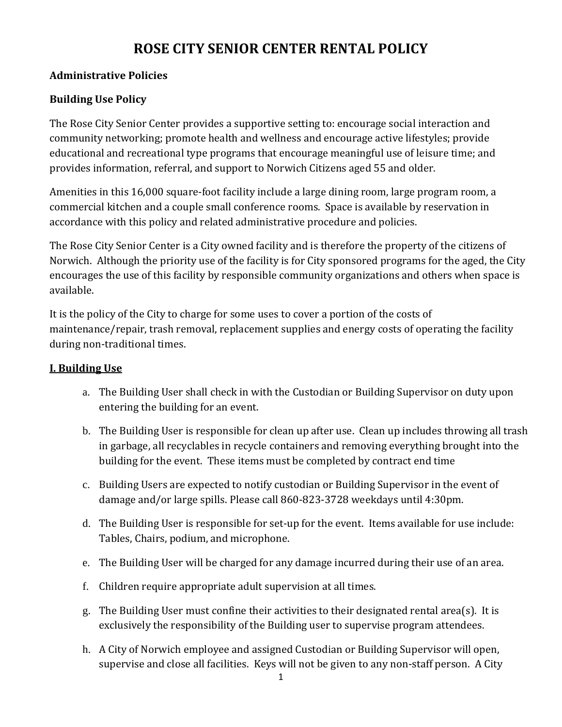# **ROSE CITY SENIOR CENTER RENTAL POLICY**

## **Administrative Policies**

## **Building Use Policy**

The Rose City Senior Center provides a supportive setting to: encourage social interaction and community networking; promote health and wellness and encourage active lifestyles; provide educational and recreational type programs that encourage meaningful use of leisure time; and provides information, referral, and support to Norwich Citizens aged 55 and older.

Amenities in this 16,000 square-foot facility include a large dining room, large program room, a commercial kitchen and a couple small conference rooms. Space is available by reservation in accordance with this policy and related administrative procedure and policies.

The Rose City Senior Center is a City owned facility and is therefore the property of the citizens of Norwich. Although the priority use of the facility is for City sponsored programs for the aged, the City encourages the use of this facility by responsible community organizations and others when space is available.

It is the policy of the City to charge for some uses to cover a portion of the costs of maintenance/repair, trash removal, replacement supplies and energy costs of operating the facility during non-traditional times.

## **I. Building Use**

- a. The Building User shall check in with the Custodian or Building Supervisor on duty upon entering the building for an event.
- b. The Building User is responsible for clean up after use. Clean up includes throwing all trash in garbage, all recyclables in recycle containers and removing everything brought into the building for the event. These items must be completed by contract end time
- c. Building Users are expected to notify custodian or Building Supervisor in the event of damage and/or large spills. Please call 860-823-3728 weekdays until 4:30pm.
- d. The Building User is responsible for set-up for the event. Items available for use include: Tables, Chairs, podium, and microphone.
- e. The Building User will be charged for any damage incurred during their use of an area.
- f. Children require appropriate adult supervision at all times.
- g. The Building User must confine their activities to their designated rental area(s). It is exclusively the responsibility of the Building user to supervise program attendees.
- h. A City of Norwich employee and assigned Custodian or Building Supervisor will open, supervise and close all facilities. Keys will not be given to any non-staff person. A City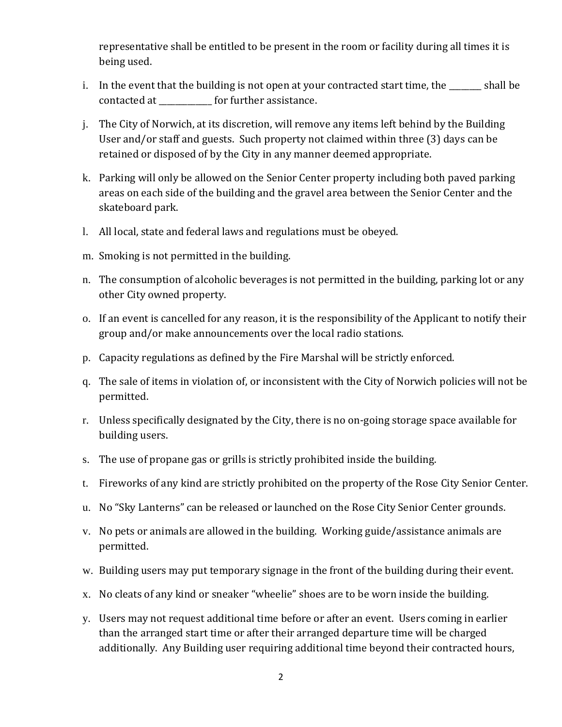representative shall be entitled to be present in the room or facility during all times it is being used.

- i. In the event that the building is not open at your contracted start time, the \_\_\_\_\_\_\_\_ shall be contacted at **the contacted** at **the contacted** at **contacted** at **c**
- j. The City of Norwich, at its discretion, will remove any items left behind by the Building User and/or staff and guests. Such property not claimed within three (3) days can be retained or disposed of by the City in any manner deemed appropriate.
- k. Parking will only be allowed on the Senior Center property including both paved parking areas on each side of the building and the gravel area between the Senior Center and the skateboard park.
- l. All local, state and federal laws and regulations must be obeyed.
- m. Smoking is not permitted in the building.
- n. The consumption of alcoholic beverages is not permitted in the building, parking lot or any other City owned property.
- o. If an event is cancelled for any reason, it is the responsibility of the Applicant to notify their group and/or make announcements over the local radio stations.
- p. Capacity regulations as defined by the Fire Marshal will be strictly enforced.
- q. The sale of items in violation of, or inconsistent with the City of Norwich policies will not be permitted.
- r. Unless specifically designated by the City, there is no on-going storage space available for building users.
- s. The use of propane gas or grills is strictly prohibited inside the building.
- t. Fireworks of any kind are strictly prohibited on the property of the Rose City Senior Center.
- u. No "Sky Lanterns" can be released or launched on the Rose City Senior Center grounds.
- v. No pets or animals are allowed in the building. Working guide/assistance animals are permitted.
- w. Building users may put temporary signage in the front of the building during their event.
- x. No cleats of any kind or sneaker "wheelie" shoes are to be worn inside the building.
- y. Users may not request additional time before or after an event. Users coming in earlier than the arranged start time or after their arranged departure time will be charged additionally. Any Building user requiring additional time beyond their contracted hours,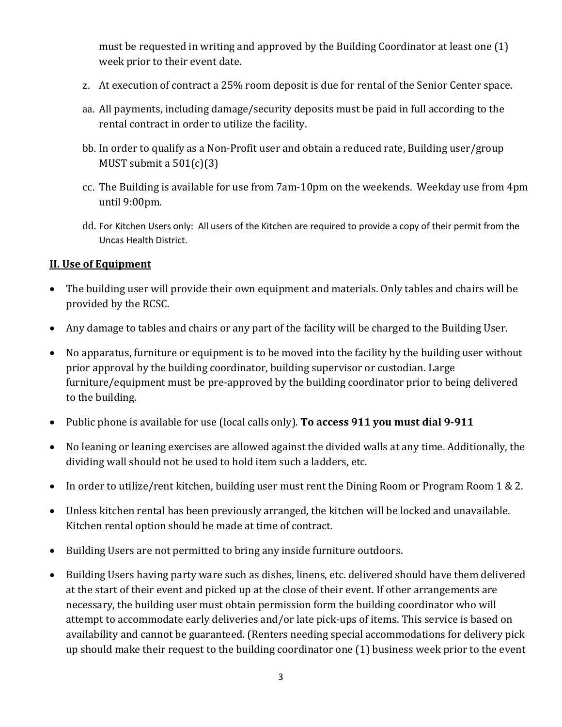must be requested in writing and approved by the Building Coordinator at least one (1) week prior to their event date.

- z. At execution of contract a 25% room deposit is due for rental of the Senior Center space.
- aa. All payments, including damage/security deposits must be paid in full according to the rental contract in order to utilize the facility.
- bb. In order to qualify as a Non-Profit user and obtain a reduced rate, Building user/group MUST submit a  $501(c)(3)$
- cc. The Building is available for use from 7am-10pm on the weekends. Weekday use from 4pm until 9:00pm.
- dd. For Kitchen Users only: All users of the Kitchen are required to provide a copy of their permit from the Uncas Health District.

#### **II. Use of Equipment**

- The building user will provide their own equipment and materials. Only tables and chairs will be provided by the RCSC.
- Any damage to tables and chairs or any part of the facility will be charged to the Building User.
- No apparatus, furniture or equipment is to be moved into the facility by the building user without prior approval by the building coordinator, building supervisor or custodian. Large furniture/equipment must be pre-approved by the building coordinator prior to being delivered to the building.
- Public phone is available for use (local calls only). **To access 911 you must dial 9-911**
- No leaning or leaning exercises are allowed against the divided walls at any time. Additionally, the dividing wall should not be used to hold item such a ladders, etc.
- In order to utilize/rent kitchen, building user must rent the Dining Room or Program Room 1 & 2.
- Unless kitchen rental has been previously arranged, the kitchen will be locked and unavailable. Kitchen rental option should be made at time of contract.
- Building Users are not permitted to bring any inside furniture outdoors.
- Building Users having party ware such as dishes, linens, etc. delivered should have them delivered at the start of their event and picked up at the close of their event. If other arrangements are necessary, the building user must obtain permission form the building coordinator who will attempt to accommodate early deliveries and/or late pick-ups of items. This service is based on availability and cannot be guaranteed. (Renters needing special accommodations for delivery pick up should make their request to the building coordinator one (1) business week prior to the event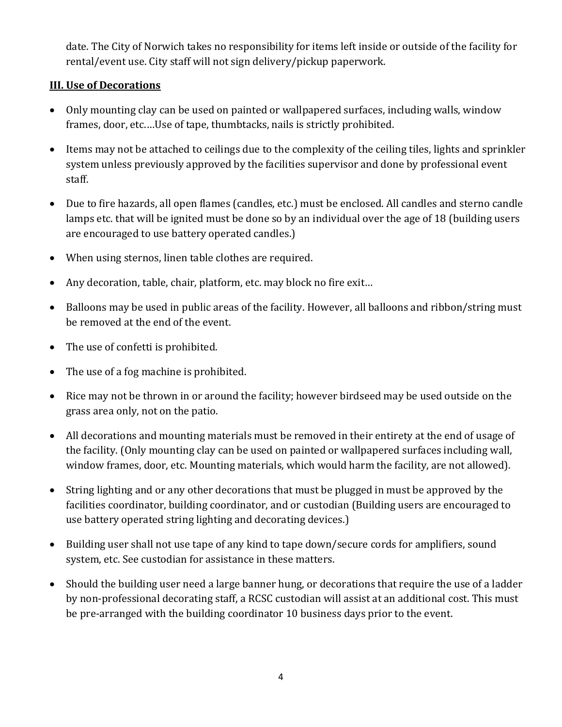date. The City of Norwich takes no responsibility for items left inside or outside of the facility for rental/event use. City staff will not sign delivery/pickup paperwork.

## **III. Use of Decorations**

- Only mounting clay can be used on painted or wallpapered surfaces, including walls, window frames, door, etc.…Use of tape, thumbtacks, nails is strictly prohibited.
- Items may not be attached to ceilings due to the complexity of the ceiling tiles, lights and sprinkler system unless previously approved by the facilities supervisor and done by professional event staff.
- Due to fire hazards, all open flames (candles, etc.) must be enclosed. All candles and sterno candle lamps etc. that will be ignited must be done so by an individual over the age of 18 (building users are encouraged to use battery operated candles.)
- When using sternos, linen table clothes are required.
- Any decoration, table, chair, platform, etc. may block no fire exit...
- Balloons may be used in public areas of the facility. However, all balloons and ribbon/string must be removed at the end of the event.
- The use of confetti is prohibited.
- The use of a fog machine is prohibited.
- Rice may not be thrown in or around the facility; however birdseed may be used outside on the grass area only, not on the patio.
- All decorations and mounting materials must be removed in their entirety at the end of usage of the facility. (Only mounting clay can be used on painted or wallpapered surfaces including wall, window frames, door, etc. Mounting materials, which would harm the facility, are not allowed).
- String lighting and or any other decorations that must be plugged in must be approved by the facilities coordinator, building coordinator, and or custodian (Building users are encouraged to use battery operated string lighting and decorating devices.)
- Building user shall not use tape of any kind to tape down/secure cords for amplifiers, sound system, etc. See custodian for assistance in these matters.
- Should the building user need a large banner hung, or decorations that require the use of a ladder by non-professional decorating staff, a RCSC custodian will assist at an additional cost. This must be pre-arranged with the building coordinator 10 business days prior to the event.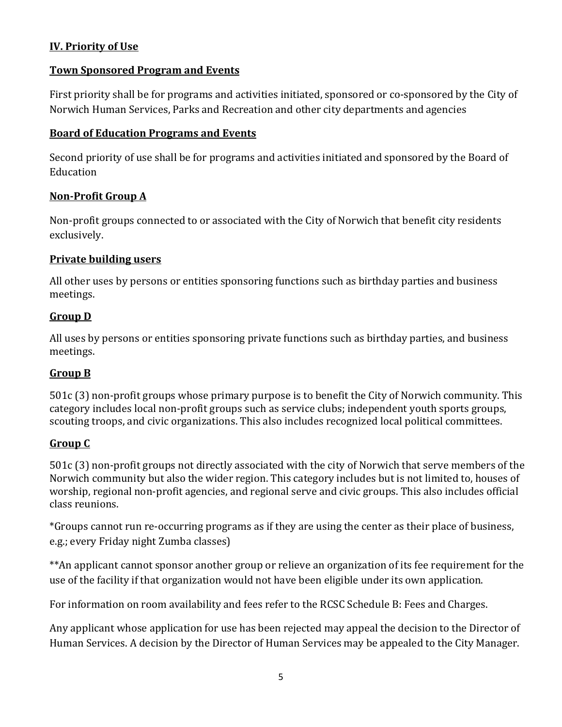## **IV. Priority of Use**

#### **Town Sponsored Program and Events**

First priority shall be for programs and activities initiated, sponsored or co-sponsored by the City of Norwich Human Services, Parks and Recreation and other city departments and agencies

#### **Board of Education Programs and Events**

Second priority of use shall be for programs and activities initiated and sponsored by the Board of **Education** 

#### **Non-Profit Group A**

Non-profit groups connected to or associated with the City of Norwich that benefit city residents exclusively.

#### **Private building users**

All other uses by persons or entities sponsoring functions such as birthday parties and business meetings.

#### **Group D**

All uses by persons or entities sponsoring private functions such as birthday parties, and business meetings.

#### **Group B**

501c (3) non-profit groups whose primary purpose is to benefit the City of Norwich community. This category includes local non-profit groups such as service clubs; independent youth sports groups, scouting troops, and civic organizations. This also includes recognized local political committees.

## **Group C**

501c (3) non-profit groups not directly associated with the city of Norwich that serve members of the Norwich community but also the wider region. This category includes but is not limited to, houses of worship, regional non-profit agencies, and regional serve and civic groups. This also includes official class reunions.

\*Groups cannot run re-occurring programs as if they are using the center as their place of business, e.g.; every Friday night Zumba classes)

\*\*An applicant cannot sponsor another group or relieve an organization of its fee requirement for the use of the facility if that organization would not have been eligible under its own application.

For information on room availability and fees refer to the RCSC Schedule B: Fees and Charges.

Any applicant whose application for use has been rejected may appeal the decision to the Director of Human Services. A decision by the Director of Human Services may be appealed to the City Manager.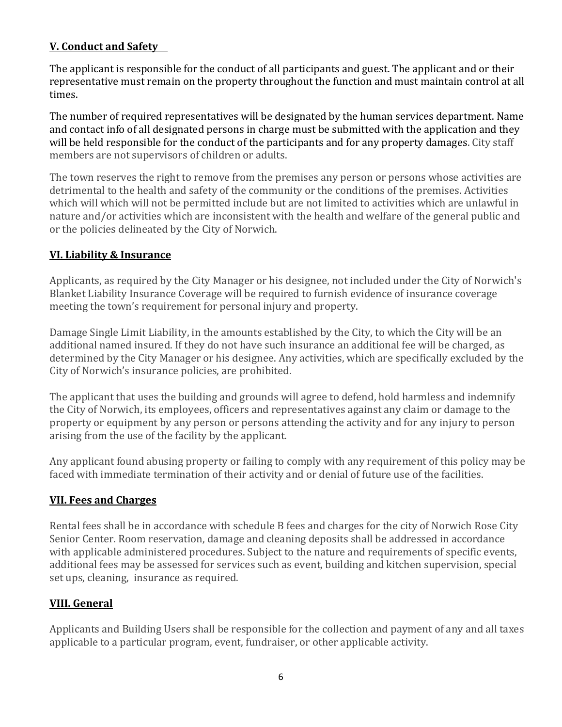## **V. Conduct and Safety**

The applicant is responsible for the conduct of all participants and guest. The applicant and or their representative must remain on the property throughout the function and must maintain control at all times.

The number of required representatives will be designated by the human services department. Name and contact info of all designated persons in charge must be submitted with the application and they will be held responsible for the conduct of the participants and for any property damages. City staff members are not supervisors of children or adults.

The town reserves the right to remove from the premises any person or persons whose activities are detrimental to the health and safety of the community or the conditions of the premises. Activities which will which will not be permitted include but are not limited to activities which are unlawful in nature and/or activities which are inconsistent with the health and welfare of the general public and or the policies delineated by the City of Norwich.

## **VI. Liability & Insurance**

Applicants, as required by the City Manager or his designee, not included under the City of Norwich's Blanket Liability Insurance Coverage will be required to furnish evidence of insurance coverage meeting the town's requirement for personal injury and property.

Damage Single Limit Liability, in the amounts established by the City, to which the City will be an additional named insured. If they do not have such insurance an additional fee will be charged, as determined by the City Manager or his designee. Any activities, which are specifically excluded by the City of Norwich's insurance policies, are prohibited.

The applicant that uses the building and grounds will agree to defend, hold harmless and indemnify the City of Norwich, its employees, officers and representatives against any claim or damage to the property or equipment by any person or persons attending the activity and for any injury to person arising from the use of the facility by the applicant.

Any applicant found abusing property or failing to comply with any requirement of this policy may be faced with immediate termination of their activity and or denial of future use of the facilities.

## **VII. Fees and Charges**

Rental fees shall be in accordance with schedule B fees and charges for the city of Norwich Rose City Senior Center. Room reservation, damage and cleaning deposits shall be addressed in accordance with applicable administered procedures. Subject to the nature and requirements of specific events, additional fees may be assessed for services such as event, building and kitchen supervision, special set ups, cleaning, insurance as required.

# **VIII. General**

Applicants and Building Users shall be responsible for the collection and payment of any and all taxes applicable to a particular program, event, fundraiser, or other applicable activity.